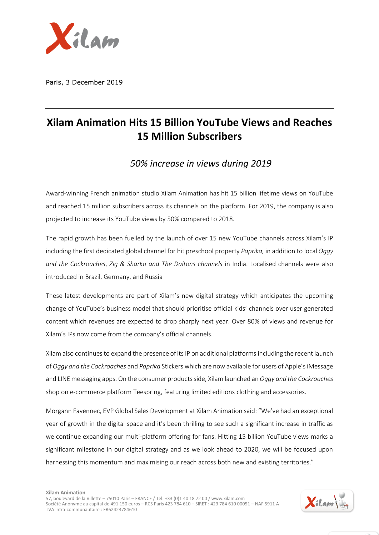

Paris, 3 December 2019

## **Xilam Animation Hits 15 Billion YouTube Views and Reaches 15 Million Subscribers**

*50% increase in views during 2019*

Award-winning French animation studio Xilam Animation has hit 15 billion lifetime views on YouTube and reached 15 million subscribers across its channels on the platform. For 2019, the company is also projected to increase its YouTube views by 50% compared to 2018.

The rapid growth has been fuelled by the launch of over 15 new YouTube channels across Xilam's IP including the first dedicated global channel for hit preschool property *Paprika,* in addition to local *Oggy and the Cockroaches*, *Zig & Sharko and The Daltons channels* in India. Localised channels were also introduced in Brazil, Germany, and Russia

These latest developments are part of Xilam's new digital strategy which anticipates the upcoming change of YouTube's business model that should prioritise official kids' channels over user generated content which revenues are expected to drop sharply next year. Over 80% of views and revenue for Xilam's IPs now come from the company's official channels.

Xilam also continues to expand the presence of its IP on additional platformsincluding the recent launch of *Oggy and the Cockroaches* and *Paprika* Stickers which are now available for users of Apple's iMessage and LINE messaging apps. On the consumer products side, Xilam launched an *Oggy and the Cockroaches* shop on e-commerce platform Teespring, featuring limited editions clothing and accessories.

Morgann Favennec, EVP Global Sales Development at Xilam Animation said: "We've had an exceptional year of growth in the digital space and it's been thrilling to see such a significant increase in traffic as we continue expanding our multi-platform offering for fans. Hitting 15 billion YouTube views marks a significant milestone in our digital strategy and as we look ahead to 2020, we will be focused upon harnessing this momentum and maximising our reach across both new and existing territories."